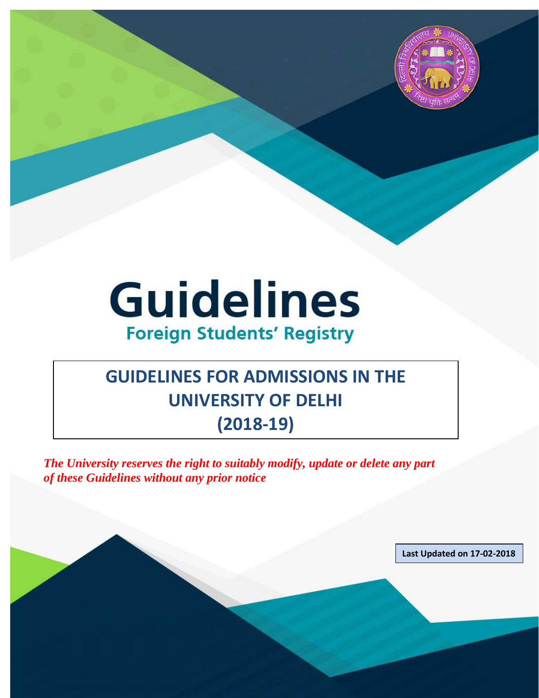

# **Guidelines Foreign Students' Registry**

## **GUIDELINES FOR ADMISSIONS IN THE UNIVERSITY OF DELHI (2018-19)**

*The University reserves the right to suitably modify, update or delete any part of these Guidelines without any prior notice*

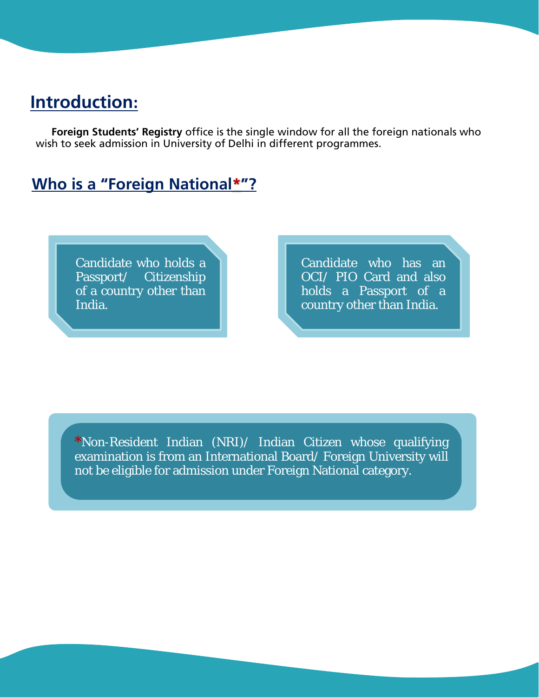### **Introduction:**

**Foreign Students' Registry** office is the single window for all the foreign nationals who wish to seek admission in University of Delhi in different programmes.

### **Who is a "Foreign National\*"?**

Candidate who holds a Passport/ Citizenship of a country other than India.

Candidate who has an OCI/ PIO Card and also holds a Passport of a country other than India.

**\***Non-Resident Indian (NRI)/ Indian Citizen whose qualifying examination is from an International Board/ Foreign University will not be eligible for admission under Foreign National category.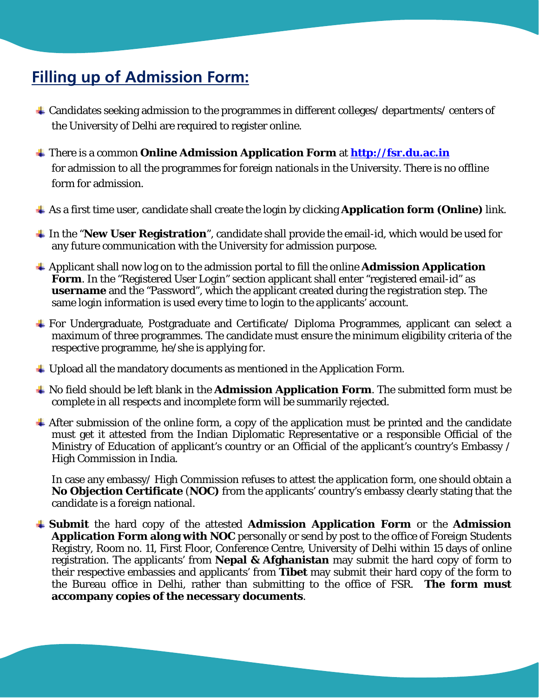### **Filling up of Admission Form:**

- Candidates seeking admission to the programmes in different colleges/ departments/ centers of the University of Delhi are required to register online.
- There is a common **Online Admission Application Form** at **[http://fsr.du.ac.in](http://fsr.du.ac.in/)** for admission to all the programmes for foreign nationals in the University. There is no offline form for admission.
- As a first time user, candidate shall create the login by clicking **Application form (Online)** link.
- In the "**New User Registration**", candidate shall provide the email-id, which would be used for any future communication with the University for admission purpose.
- Applicant shall now log on to the admission portal to fill the online **Admission Application Form**. In the "Registered User Login" section applicant shall enter "registered email-id" as **username** and the "Password", which the applicant created during the registration step. The same login information is used every time to login to the applicants' account.
- For Undergraduate, Postgraduate and Certificate/ Diploma Programmes, applicant can select a maximum of three programmes. The candidate must ensure the minimum eligibility criteria of the respective programme, he/she is applying for.
- $\ddot{\phantom{1}}$  Upload all the mandatory documents as mentioned in the Application Form.
- No field should be left blank in the **Admission Application Form**. The submitted form must be complete in all respects and incomplete form will be summarily rejected.
- $\overline{\phantom{a}}$  After submission of the online form, a copy of the application must be printed and the candidate must get it attested from the Indian Diplomatic Representative or a responsible Official of the Ministry of Education of applicant's country or an Official of the applicant's country's Embassy / High Commission in India.

In case any embassy/ High Commission refuses to attest the application form, one should obtain a **No Objection Certificate** (**NOC)** from the applicants' country's embassy clearly stating that the candidate is a foreign national.

**Submit** the hard copy of the attested **Admission Application Form** or the **Admission Application Form along with NOC** personally or send by post to the office of Foreign Students Registry, Room no. 11, First Floor, Conference Centre, University of Delhi within 15 days of online registration. The applicants' from **Nepal & Afghanistan** may submit the hard copy of form to their respective embassies and applicants' from **Tibet** may submit their hard copy of the form to the Bureau office in Delhi, rather than submitting to the office of FSR. **The form must accompany copies of the necessary documents**.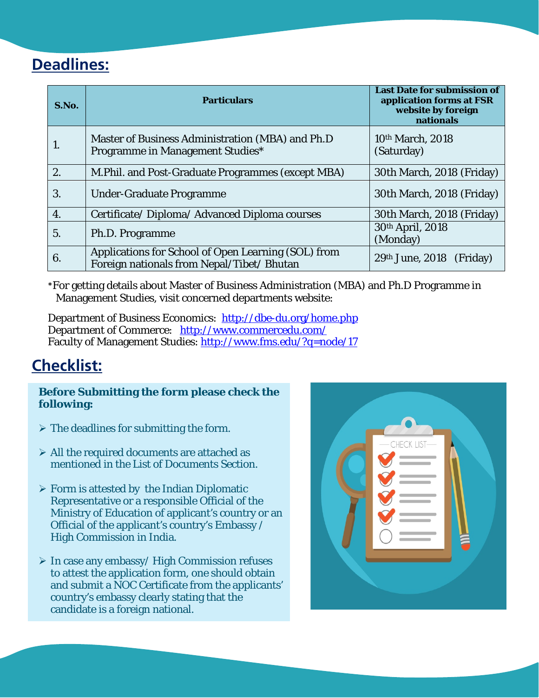### **Deadlines:**

| S.No. | <b>Particulars</b>                                                                                | <b>Last Date for submission of</b><br>application forms at FSR<br>website by foreign<br>nationals |
|-------|---------------------------------------------------------------------------------------------------|---------------------------------------------------------------------------------------------------|
|       | Master of Business Administration (MBA) and Ph.D<br>Programme in Management Studies*              | 10th March, 2018<br>(Saturday)                                                                    |
| 2.    | M. Phil. and Post-Graduate Programmes (except MBA)                                                | 30th March, 2018 (Friday)                                                                         |
| 3.    | <b>Under-Graduate Programme</b>                                                                   | 30th March, 2018 (Friday)                                                                         |
| 4.    | Certificate/Diploma/Advanced Diploma courses                                                      | 30th March, 2018 (Friday)                                                                         |
| 5.    | Ph.D. Programme                                                                                   | 30th April, 2018<br>(Monday)                                                                      |
| 6.    | Applications for School of Open Learning (SOL) from<br>Foreign nationals from Nepal/Tibet/ Bhutan | $29th$ June, $2018$ (Friday)                                                                      |

\*For getting details about Master of Business Administration (MBA) and Ph.D Programme in Management Studies, visit concerned departments website:

Department of Business Economics: <http://dbe-du.org/home.php> Department of Commerce: <http://www.commercedu.com/> Faculty of Management Studies:<http://www.fms.edu/?q=node/17>

### **Checklist:**

**Before Submitting the form please check the following:**

- $\triangleright$  The deadlines for submitting the form.
- $\triangleright$  All the required documents are attached as mentioned in the List of Documents Section.
- $\triangleright$  Form is attested by the Indian Diplomatic Representative or a responsible Official of the Ministry of Education of applicant's country or an Official of the applicant's country's Embassy / High Commission in India.
- $\triangleright$  In case any embassy/High Commission refuses to attest the application form, one should obtain and submit a NOC Certificate from the applicants' country's embassy clearly stating that the candidate is a foreign national.

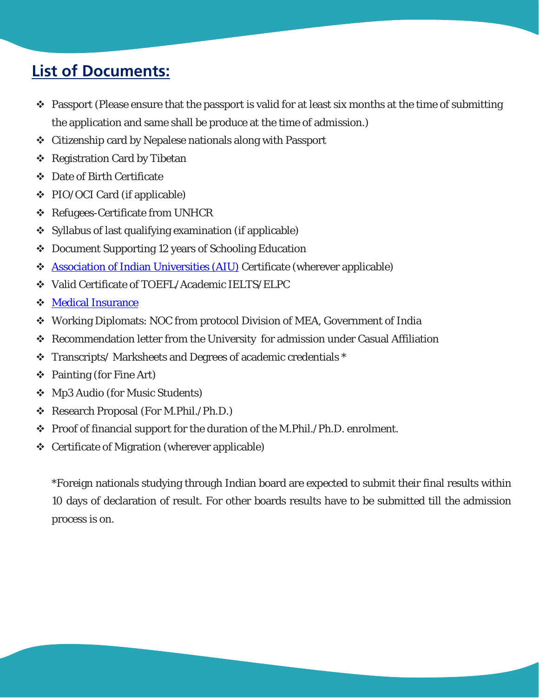### **List of Documents:**

- $\cdot$  Passport (Please ensure that the passport is valid for at least six months at the time of submitting the application and same shall be produce at the time of admission.)
- Citizenship card by Nepalese nationals along with Passport
- ❖ Registration Card by Tibetan
- Date of Birth Certificate
- PIO/OCI Card (if applicable)
- ❖ Refugees-Certificate from UNHCR
- Syllabus of last qualifying examination (if applicable)
- Document Supporting 12 years of Schooling Education
- [Association of Indian Universities \(AIU\)](http://www.aiu.ac.in/index.asp) Certificate (wherever applicable)
- Valid Certificate of TOEFL/Academic IELTS/ELPC
- [Medical Insurance](#page-10-0)
- Working Diplomats: NOC from protocol Division of MEA, Government of India
- Recommendation letter from the University for admission under Casual Affiliation
- Transcripts/ Marksheets and Degrees of academic credentials \*
- Painting (for Fine Art)
- Mp3 Audio (for Music Students)
- Research Proposal (For M.Phil./Ph.D.)
- $\div$  Proof of financial support for the duration of the M.Phil./Ph.D. enrolment.
- Certificate of Migration (wherever applicable)

\*Foreign nationals studying through Indian board are expected to submit their final results within 10 days of declaration of result. For other boards results have to be submitted till the admission process is on.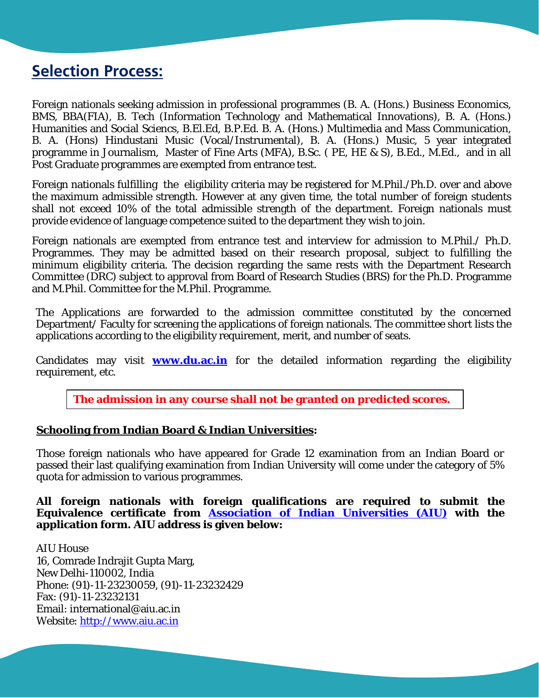### **Selection Process:**

Foreign nationals seeking admission in professional programmes (B. A. (Hons.) Business Economics, BMS, BBA(FIA), B. Tech (Information Technology and Mathematical Innovations), B. A. (Hons.) Humanities and Social Sciencs, B.El.Ed, B.P.Ed. B. A. (Hons.) Multimedia and Mass Communication, B. A. (Hons) Hindustani Music (Vocal/Instrumental), B. A. (Hons.) Music, 5 year integrated programme in Journalism, Master of Fine Arts (MFA), B.Sc. ( PE, HE & S), B.Ed., M.Ed., and in all Post Graduate programmes are exempted from entrance test.

Foreign nationals fulfilling the eligibility criteria may be registered for M.Phil./Ph.D. over and above the maximum admissible strength. However at any given time, the total number of foreign students shall not exceed 10% of the total admissible strength of the department. Foreign nationals must provide evidence of language competence suited to the department they wish to join.

Foreign nationals are exempted from entrance test and interview for admission to M.Phil./ Ph.D. Programmes. They may be admitted based on their research proposal, subject to fulfilling the minimum eligibility criteria. The decision regarding the same rests with the Department Research Committee (DRC) subject to approval from Board of Research Studies (BRS) for the Ph.D. Programme and M.Phil. Committee for the M.Phil. Programme.

The Applications are forwarded to the admission committee constituted by the concerned Department/ Faculty for screening the applications of foreign nationals. The committee short lists the applications according to the eligibility requirement, merit, and number of seats.

Candidates may visit **www.du.ac.in** for the detailed information regarding the eligibility requirement, etc.

**The admission in any course shall not be granted on predicted scores.**

#### **Schooling from Indian Board & Indian Universities:**

Those foreign nationals who have appeared for Grade 12 examination from an Indian Board or passed their last qualifying examination from Indian University will come under the category of 5% quota for admission to various programmes.

**All foreign nationals with foreign qualifications are required to submit the Equivalence certificate from [Association of Indian Universities \(AIU\)](http://www.aiu.ac.in/index.asp) with the application form. AIU address is given below:**

AIU House 16, Comrade Indrajit Gupta Marg, New Delhi-110002, India Phone: (91)-11-23230059, (91)-11-23232429 Fax: (91)-11-23232131 Email: international@aiu.ac.in Website: [http://www.aiu.ac.in](http://www.aiu.ac.in/)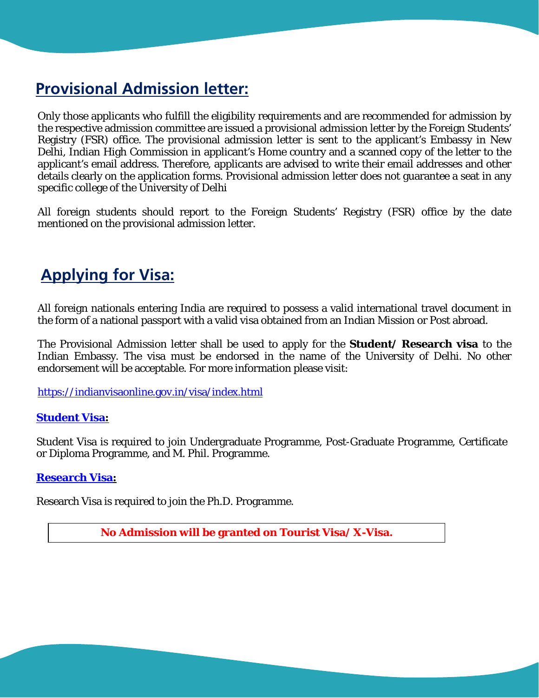### **Provisional Admission letter:**

Only those applicants who fulfill the eligibility requirements and are recommended for admission by the respective admission committee are issued a provisional admission letter by the Foreign Students' Registry (FSR) office. The provisional admission letter is sent to the applicant's Embassy in New Delhi, Indian High Commission in applicant's Home country and a scanned copy of the letter to the applicant's email address. Therefore, applicants are advised to write their email addresses and other details clearly on the application forms. Provisional admission letter does not guarantee a seat in any specific college of the University of Delhi

All foreign students should report to the Foreign Students' Registry (FSR) office by the date mentioned on the provisional admission letter.

### **Applying for Visa:**

All foreign nationals entering India are required to possess a valid international travel document in the form of a national passport with a valid visa obtained from an Indian Mission or Post abroad.

The Provisional Admission letter shall be used to apply for the **Student/ Research visa** to the Indian Embassy. The visa must be endorsed in the name of the University of Delhi. No other endorsement will be acceptable. For more information please visit:

<https://indianvisaonline.gov.in/visa/index.html>

#### **[Student Visa:](https://boi.gov.in/content/student-visa-s)**

Student Visa is required to join Undergraduate Programme, Post-Graduate Programme, Certificate or Diploma Programme, and M. Phil. Programme.

#### **[Research Visa:](http://mha1.nic.in/pdfs/OverviewReserchVisa2014.pdf)**

Research Visa is required to join the Ph.D. Programme.

**No Admission will be granted on Tourist Visa/ X-Visa.**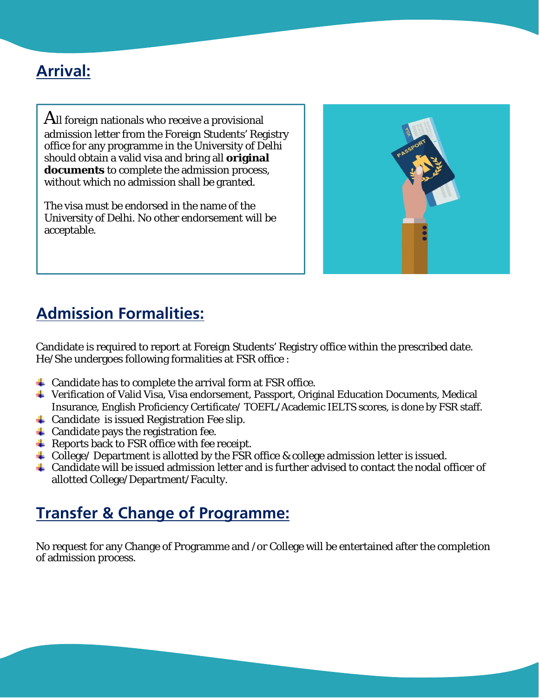### **Arrival:**

All foreign nationals who receive a provisional admission letter from the Foreign Students' Registry office for any programme in the University of Delhi should obtain a valid visa and bring all **original documents** to complete the admission process, without which no admission shall be granted.

The visa must be endorsed in the name of the University of Delhi. No other endorsement will be acceptable.



### **Admission Formalities:**

Candidate is required to report at Foreign Students' Registry office within the prescribed date. He/She undergoes following formalities at FSR office :

- $\triangleq$  Candidate has to complete the arrival form at FSR office.
- Verification of Valid Visa, Visa endorsement, Passport, Original Education Documents, Medical Insurance, English Proficiency Certificate/ TOEFL/Academic IELTS scores, is done by FSR staff.
- $\triangleq$  Candidate is issued Registration Fee slip.
- $\triangleq$  Candidate pays the registration fee.
- $\triangleq$  Reports back to FSR office with fee receipt.
- $\pm$  College/ Department is allotted by the FSR office & college admission letter is issued.
- Candidate will be issued admission letter and is further advised to contact the nodal officer of allotted College/Department/Faculty.

### **Transfer & Change of Programme:**

No request for any Change of Programme and /or College will be entertained after the completion of admission process.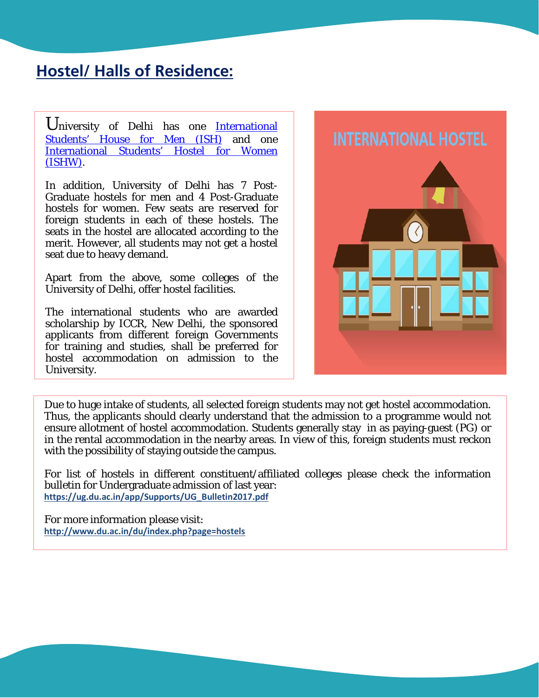### **Hostel/ Halls of Residence:**

University of Delhi has one **International** [Students' House for Men](http://ish.du.ac.in/) (ISH) and one [International Students' Hostel for Women](http://du.ac.in/du/index.php?page=international-students-house-for-women-2) [\(ISHW\).](http://du.ac.in/du/index.php?page=international-students-house-for-women-2)

In addition, University of Delhi has 7 Post-Graduate hostels for men and 4 Post-Graduate hostels for women. Few seats are reserved for foreign students in each of these hostels. The seats in the hostel are allocated according to the merit. However, all students may not get a hostel seat due to heavy demand.

Apart from the above, some colleges of the University of Delhi, offer hostel facilities.

The international students who are awarded scholarship by ICCR, New Delhi, the sponsored applicants from different foreign Governments for training and studies, shall be preferred for hostel accommodation on admission to the University.

I



Due to huge intake of students, all selected foreign students may not get hostel accommodation. Thus, the applicants should clearly understand that the admission to a programme would not ensure allotment of hostel accommodation. Students generally stay in as paying-guest (PG) or in the rental accommodation in the nearby areas. In view of this, foreign students must reckon with the possibility of staying outside the campus.

For list of hostels in different constituent/affiliated colleges please check the information bulletin for Undergraduate admission of last year: **[https://ug.du.ac.in/app/Supports/UG\\_Bulletin2017.pdf](https://ug.du.ac.in/app/Supports/UG_Bulletin2017.pdf)**

For more information please visit: **<http://www.du.ac.in/du/index.php?page=hostels>**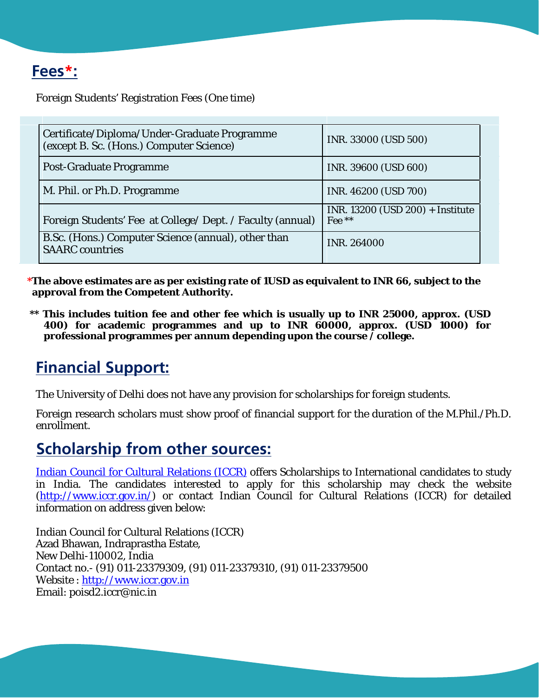### **Fees\*:**

Foreign Students' Registration Fees (One time)

| Certificate/Diploma/Under-Graduate Programme<br>(except B. Sc. (Hons.) Computer Science) | INR. 33000 (USD 500)                       |  |
|------------------------------------------------------------------------------------------|--------------------------------------------|--|
| <b>Post-Graduate Programme</b>                                                           | INR. 39600 (USD 600)                       |  |
| M. Phil. or Ph.D. Programme                                                              | INR. 46200 (USD 700)                       |  |
| Foreign Students' Fee at College/ Dept. / Faculty (annual)                               | INR. 13200 (USD 200) + Institute<br>Fee ** |  |
| B.Sc. (Hons.) Computer Science (annual), other than<br><b>SAARC</b> countries            | <b>INR. 264000</b>                         |  |

 **\*The above estimates are as per existing rate of 1USD as equivalent to INR 66, subject to the approval from the Competent Authority.** 

 **\*\* This includes tuition fee and other fee which is usually up to INR 25000, approx. (USD 400) for academic programmes and up to INR 60000, approx. (USD 1000) for professional programmes per annum depending upon the course / college.**

### **Financial Support:**

The University of Delhi does not have any provision for scholarships for foreign students.

Foreign research scholars must show proof of financial support for the duration of the M.Phil./Ph.D. enrollment.

### **Scholarship from other sources:**

[Indian Council for Cultural Relations \(ICCR\)](http://www.iccr.gov.in/) offers Scholarships to International candidates to study in India. The candidates interested to apply for this scholarship may check the website [\(http://www.iccr.gov.in/\)](http://www.iccr.gov.in/) or contact Indian Council for Cultural Relations (ICCR) for detailed information on address given below:

Indian Council for Cultural Relations (ICCR) Azad Bhawan, Indraprastha Estate, New Delhi-110002, India Contact no.- (91) 011-23379309, (91) 011-23379310, (91) 011-23379500 Website : [http://www.iccr.gov.in](http://www.iccr.gov.in/) Email: poisd2.iccr@nic.in